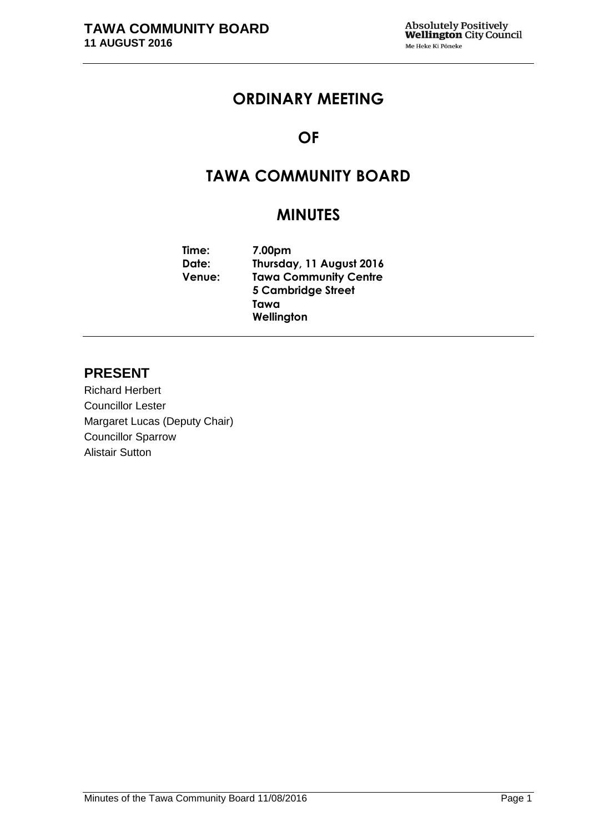# **ORDINARY MEETING**

# **OF**

# **TAWA COMMUNITY BOARD**

# **MINUTES**

**Time: 7.00pm Date: Thursday, 11 August 2016 Venue: Tawa Community Centre 5 Cambridge Street Tawa Wellington**

# **PRESENT**

Richard Herbert Councillor Lester Margaret Lucas (Deputy Chair) Councillor Sparrow Alistair Sutton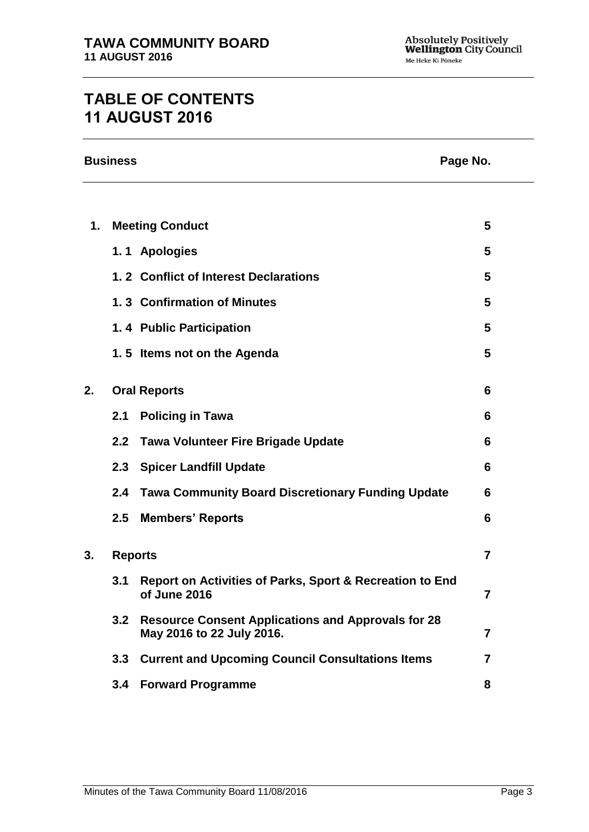# **TABLE OF CONTENTS 11 AUGUST 2016**

|    | <b>Business</b><br>Page No. |                                                                                        |   |
|----|-----------------------------|----------------------------------------------------------------------------------------|---|
|    |                             |                                                                                        |   |
| 1. |                             | <b>Meeting Conduct</b>                                                                 | 5 |
|    |                             | 1.1 Apologies                                                                          | 5 |
|    |                             | 1.2 Conflict of Interest Declarations                                                  | 5 |
|    |                             | 1.3 Confirmation of Minutes                                                            | 5 |
|    |                             | 1.4 Public Participation                                                               | 5 |
|    |                             | 1.5 Items not on the Agenda                                                            | 5 |
| 2. |                             | <b>Oral Reports</b>                                                                    | 6 |
|    | 2.1                         | <b>Policing in Tawa</b>                                                                | 6 |
|    | 2.2                         | <b>Tawa Volunteer Fire Brigade Update</b>                                              | 6 |
|    | 2.3                         | <b>Spicer Landfill Update</b>                                                          | 6 |
|    | 2.4                         | <b>Tawa Community Board Discretionary Funding Update</b>                               | 6 |
|    | 2.5                         | <b>Members' Reports</b>                                                                | 6 |
| 3. | <b>Reports</b>              |                                                                                        | 7 |
|    | 3.1                         | <b>Report on Activities of Parks, Sport &amp; Recreation to End</b><br>of June 2016    | 7 |
|    | 3.2                         | <b>Resource Consent Applications and Approvals for 28</b><br>May 2016 to 22 July 2016. | 7 |
|    | 3.3                         | <b>Current and Upcoming Council Consultations Items</b>                                | 7 |
|    | 3.4                         | <b>Forward Programme</b>                                                               | 8 |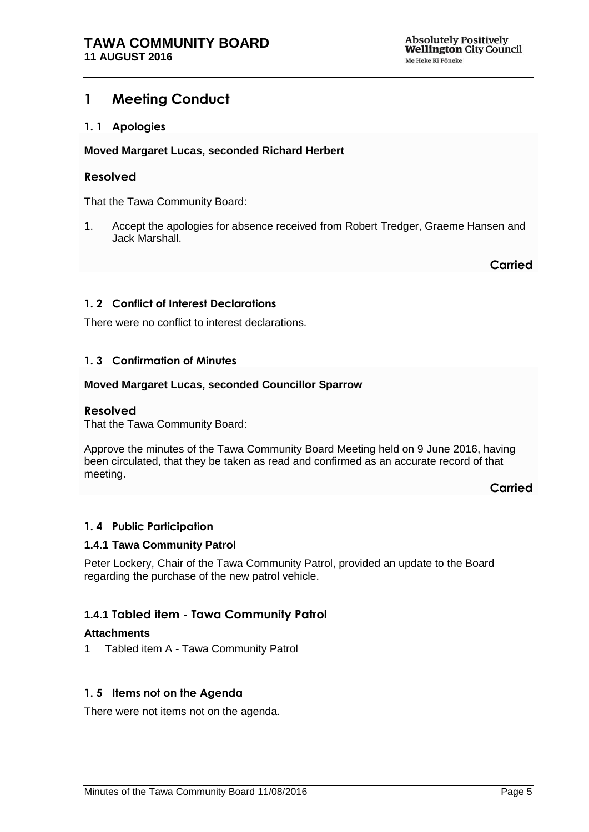# <span id="page-4-0"></span>**1 Meeting Conduct**

## <span id="page-4-1"></span>**1. 1 Apologies**

#### **Moved Margaret Lucas, seconded Richard Herbert**

## **Resolved**

That the Tawa Community Board:

1. Accept the apologies for absence received from Robert Tredger, Graeme Hansen and Jack Marshall.

**Carried**

## <span id="page-4-2"></span>**1. 2 Conflict of Interest Declarations**

There were no conflict to interest declarations.

## <span id="page-4-3"></span>**1. 3 Confirmation of Minutes**

#### **Moved Margaret Lucas, seconded Councillor Sparrow**

#### **Resolved**

That the Tawa Community Board:

Approve the minutes of the Tawa Community Board Meeting held on 9 June 2016, having been circulated, that they be taken as read and confirmed as an accurate record of that meeting.

**Carried**

#### <span id="page-4-5"></span>**1. 4 Public Participation**

#### **1.4.1 Tawa Community Patrol**

Peter Lockery, Chair of the Tawa Community Patrol, provided an update to the Board regarding the purchase of the new patrol vehicle.

# **1.4.1 Tabled item - Tawa Community Patrol**

#### **Attachments**

1 Tabled item A - Tawa Community Patrol

#### <span id="page-4-4"></span>**1. 5 Items not on the Agenda**

There were not items not on the agenda.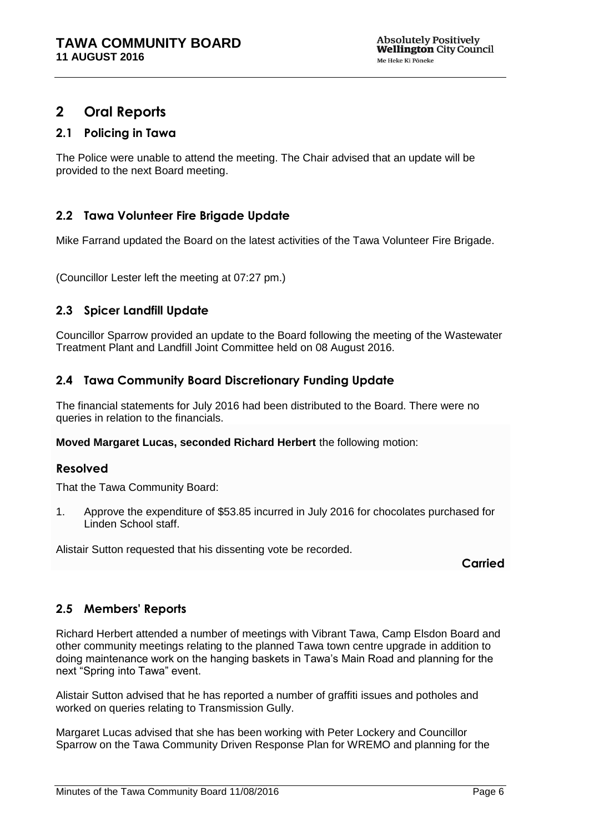# <span id="page-5-0"></span>**2 Oral Reports**

# **2.1 Policing in Tawa**

The Police were unable to attend the meeting. The Chair advised that an update will be provided to the next Board meeting.

# **2.2 Tawa Volunteer Fire Brigade Update**

Mike Farrand updated the Board on the latest activities of the Tawa Volunteer Fire Brigade.

(Councillor Lester left the meeting at 07:27 pm.)

# **2.3 Spicer Landfill Update**

Councillor Sparrow provided an update to the Board following the meeting of the Wastewater Treatment Plant and Landfill Joint Committee held on 08 August 2016.

# **2.4 Tawa Community Board Discretionary Funding Update**

The financial statements for July 2016 had been distributed to the Board. There were no queries in relation to the financials.

#### **Moved Margaret Lucas, seconded Richard Herbert** the following motion:

#### **Resolved**

That the Tawa Community Board:

1. Approve the expenditure of \$53.85 incurred in July 2016 for chocolates purchased for Linden School staff.

Alistair Sutton requested that his dissenting vote be recorded.

**Carried**

# **2.5 Members' Reports**

Richard Herbert attended a number of meetings with Vibrant Tawa, Camp Elsdon Board and other community meetings relating to the planned Tawa town centre upgrade in addition to doing maintenance work on the hanging baskets in Tawa's Main Road and planning for the next "Spring into Tawa" event.

Alistair Sutton advised that he has reported a number of graffiti issues and potholes and worked on queries relating to Transmission Gully.

Margaret Lucas advised that she has been working with Peter Lockery and Councillor Sparrow on the Tawa Community Driven Response Plan for WREMO and planning for the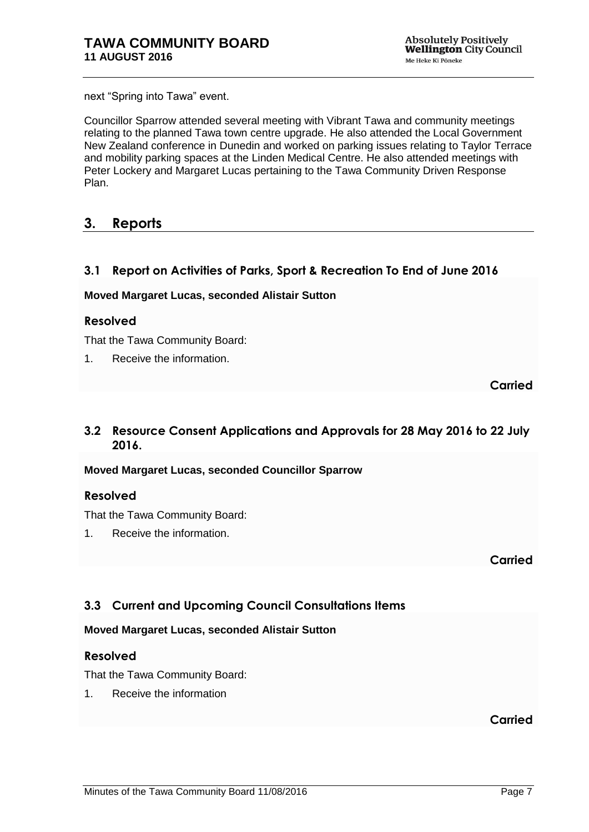next "Spring into Tawa" event.

Councillor Sparrow attended several meeting with Vibrant Tawa and community meetings relating to the planned Tawa town centre upgrade. He also attended the Local Government New Zealand conference in Dunedin and worked on parking issues relating to Taylor Terrace and mobility parking spaces at the Linden Medical Centre. He also attended meetings with Peter Lockery and Margaret Lucas pertaining to the Tawa Community Driven Response Plan.

# <span id="page-6-0"></span>**3. Reports**

# <span id="page-6-1"></span>**3.1 Report on Activities of Parks, Sport & Recreation To End of June 2016**

#### **Moved Margaret Lucas, seconded Alistair Sutton**

## **Resolved**

That the Tawa Community Board:

1. Receive the information.

**Carried**

# <span id="page-6-2"></span>**3.2 Resource Consent Applications and Approvals for 28 May 2016 to 22 July 2016.**

**Moved Margaret Lucas, seconded Councillor Sparrow**

# **Resolved**

That the Tawa Community Board:

1. Receive the information.

**Carried**

# <span id="page-6-3"></span>**3.3 Current and Upcoming Council Consultations Items**

#### **Moved Margaret Lucas, seconded Alistair Sutton**

#### **Resolved**

That the Tawa Community Board:

1. Receive the information

**Carried**